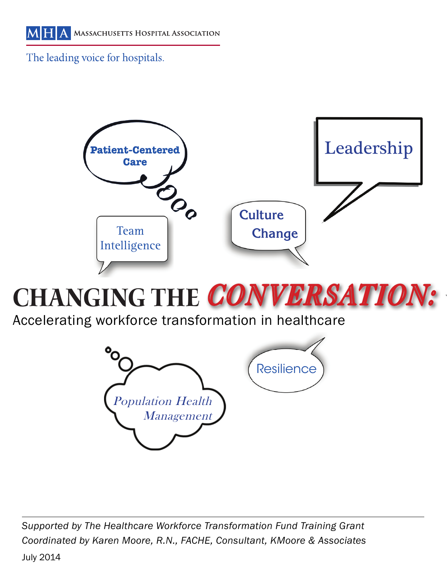The leading voice for hospitals.



# CHANGING THE CONVERSATION:

Accelerating workforce transformation in healthcare



*Supported by The Healthcare Workforce Transformation Fund Training Grant Coordinated by Karen Moore, R.N., FACHE, Consultant, KMoore & Associates*

July 2014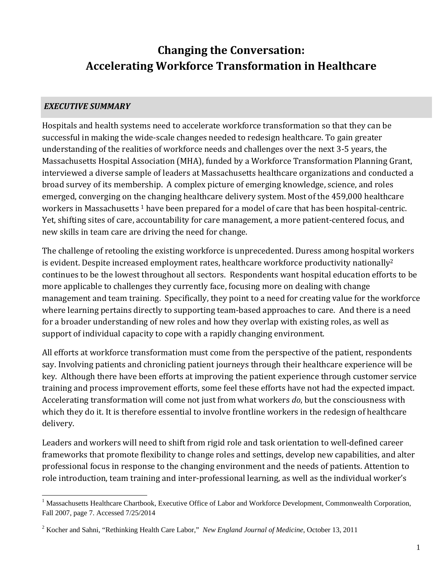## **Changing the Conversation: Accelerating Workforce Transformation in Healthcare**

#### *EXECUTIVE SUMMARY*

Hospitals and health systems need to accelerate workforce transformation so that they can be successful in making the wide-scale changes needed to redesign healthcare. To gain greater understanding of the realities of workforce needs and challenges over the next 3-5 years, the Massachusetts Hospital Association (MHA), funded by a Workforce Transformation Planning Grant, interviewed a diverse sample of leaders at Massachusetts healthcare organizations and conducted a broad survey of its membership. A complex picture of emerging knowledge, science, and roles emerged, converging on the changing healthcare delivery system. Most of the 459,000 healthcare workers in Massachusetts  $1$  have been prepared for a model of care that has been hospital-centric. Yet, shifting sites of care, accountability for care management, a more patient-centered focus, and new skills in team care are driving the need for change.

The challenge of retooling the existing workforce is unprecedented. Duress among hospital workers is evident. Despite increased employment rates, healthcare workforce productivity nationally<sup>2</sup> continues to be the lowest throughout all sectors. Respondents want hospital education efforts to be more applicable to challenges they currently face, focusing more on dealing with change management and team training. Specifically, they point to a need for creating value for the workforce where learning pertains directly to supporting team-based approaches to care. And there is a need for a broader understanding of new roles and how they overlap with existing roles, as well as support of individual capacity to cope with a rapidly changing environment.

All efforts at workforce transformation must come from the perspective of the patient, respondents say. Involving patients and chronicling patient journeys through their healthcare experience will be key. Although there have been efforts at improving the patient experience through customer service training and process improvement efforts, some feel these efforts have not had the expected impact. Accelerating transformation will come not just from what workers *do*, but the consciousness with which they do it. It is therefore essential to involve frontline workers in the redesign of healthcare delivery. 

Leaders and workers will need to shift from rigid role and task orientation to well-defined career frameworks that promote flexibility to change roles and settings, develop new capabilities, and alter professional focus in response to the changing environment and the needs of patients. Attention to role introduction, team training and inter-professional learning, as well as the individual worker's

 $\overline{a}$ <sup>1</sup> Massachusetts Healthcare Chartbook, Executive Office of Labor and Workforce Development, Commonwealth Corporation, Fall 2007, page 7. Accessed 7/25/2014

<sup>2</sup> Kocher and Sahni, "Rethinking Health Care Labor," *New England Journal of Medicine*, October 13, 2011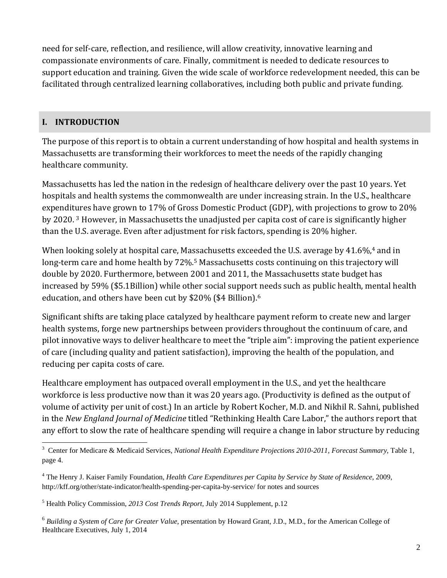need for self-care, reflection, and resilience, will allow creativity, innovative learning and compassionate environments of care. Finally, commitment is needed to dedicate resources to support education and training. Given the wide scale of workforce redevelopment needed, this can be facilitated through centralized learning collaboratives, including both public and private funding.

## **I. INTRODUCTION**

The purpose of this report is to obtain a current understanding of how hospital and health systems in Massachusetts are transforming their workforces to meet the needs of the rapidly changing healthcare community.

Massachusetts has led the nation in the redesign of healthcare delivery over the past 10 years. Yet hospitals and health systems the commonwealth are under increasing strain. In the U.S., healthcare expenditures have grown to 17% of Gross Domestic Product (GDP), with projections to grow to 20% by 2020.<sup>3</sup> However, in Massachusetts the unadjusted per capita cost of care is significantly higher than the U.S. average. Even after adjustment for risk factors, spending is 20% higher.

When looking solely at hospital care, Massachusetts exceeded the U.S. average by  $41.6\%$ ,<sup>4</sup> and in long-term care and home health by 72%.<sup>5</sup> Massachusetts costs continuing on this trajectory will double by 2020. Furthermore, between 2001 and 2011, the Massachusetts state budget has increased by 59% (\$5.1Billion) while other social support needs such as public health, mental health education, and others have been cut by \$20% (\$4 Billion).<sup>6</sup>

Significant shifts are taking place catalyzed by healthcare payment reform to create new and larger health systems, forge new partnerships between providers throughout the continuum of care, and pilot innovative ways to deliver healthcare to meet the "triple aim": improving the patient experience of care (including quality and patient satisfaction), improving the health of the population, and reducing per capita costs of care.

Healthcare employment has outpaced overall employment in the U.S., and yet the healthcare workforce is less productive now than it was 20 years ago. (Productivity is defined as the output of volume of activity per unit of cost.) In an article by Robert Kocher, M.D. and Nikhil R. Sahni, published in the *New England Journal of Medicine* titled "Rethinking Health Care Labor," the authors report that any effort to slow the rate of healthcare spending will require a change in labor structure by reducing

<sup>6</sup> *Building a System of Care for Greater Value*, presentation by Howard Grant, J.D., M.D., for the American College of Healthcare Executives, July 1, 2014

 3 Center for Medicare & Medicaid Services, *National Health Expenditure Projections 2010-2011, Forecast Summary*, Table 1, page 4.

<sup>4</sup> The Henry J. Kaiser Family Foundation, *Health Care Expenditures per Capita by Service by State of Residence*, 2009, http://kff.org/other/state-indicator/health-spending-per-capita-by-service/ for notes and sources

<sup>5</sup> Health Policy Commission, *2013 Cost Trends Report,* July 2014 Supplement, p.12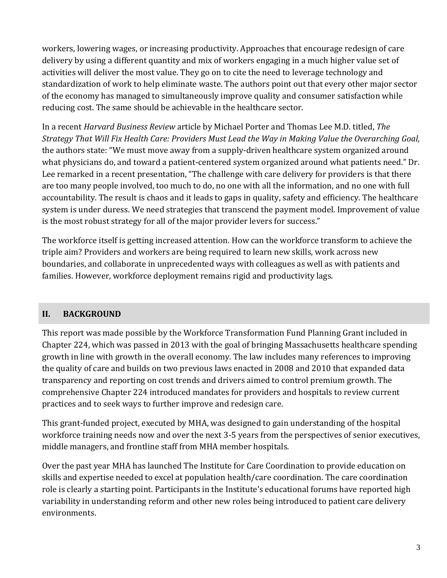workers, lowering wages, or increasing productivity. Approaches that encourage redesign of care delivery by using a different quantity and mix of workers engaging in a much higher value set of activities will deliver the most value. They go on to cite the need to leverage technology and standardization of work to help eliminate waste. The authors point out that every other major sector of the economy has managed to simultaneously improve quality and consumer satisfaction while reducing cost. The same should be achievable in the healthcare sector.

In a recent *Harvard Business Review* article by Michael Porter and Thomas Lee M.D. titled, *The Strategy That Will Fix Health Care: Providers Must Lead the Way in Making Value the Overarching Goal,* the authors state: "We must move away from a supply-driven healthcare system organized around what physicians do, and toward a patient-centered system organized around what patients need." Dr. Lee remarked in a recent presentation, "The challenge with care delivery for providers is that there are too many people involved, too much to do, no one with all the information, and no one with full accountability. The result is chaos and it leads to gaps in quality, safety and efficiency. The healthcare system is under duress. We need strategies that transcend the payment model. Improvement of value is the most robust strategy for all of the major provider levers for success."

The workforce itself is getting increased attention. How can the workforce transform to achieve the triple aim? Providers and workers are being required to learn new skills, work across new boundaries, and collaborate in unprecedented ways with colleagues as well as with patients and families. However, workforce deployment remains rigid and productivity lags.

## **II. BACKGROUND**

This report was made possible by the Workforce Transformation Fund Planning Grant included in Chapter 224, which was passed in 2013 with the goal of bringing Massachusetts healthcare spending growth in line with growth in the overall economy. The law includes many references to improving the quality of care and builds on two previous laws enacted in 2008 and 2010 that expanded data transparency and reporting on cost trends and drivers aimed to control premium growth. The comprehensive Chapter 224 introduced mandates for providers and hospitals to review current practices and to seek ways to further improve and redesign care.

This grant-funded project, executed by MHA, was designed to gain understanding of the hospital workforce training needs now and over the next 3-5 years from the perspectives of senior executives, middle managers, and frontline staff from MHA member hospitals.

Over the past year MHA has launched The Institute for Care Coordination to provide education on skills and expertise needed to excel at population health/care coordination. The care coordination role is clearly a starting point. Participants in the Institute's educational forums have reported high variability in understanding reform and other new roles being introduced to patient care delivery environments.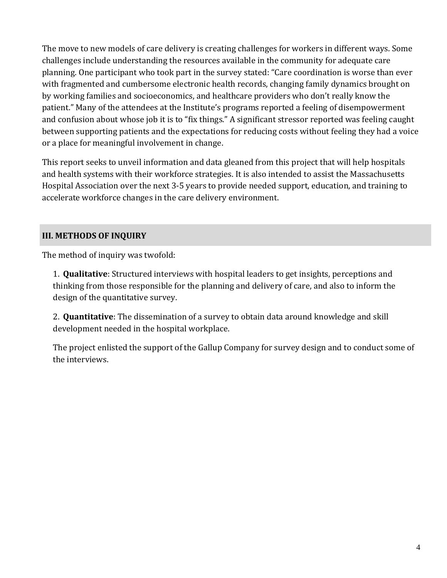The move to new models of care delivery is creating challenges for workers in different ways. Some challenges include understanding the resources available in the community for adequate care planning. One participant who took part in the survey stated: "Care coordination is worse than ever with fragmented and cumbersome electronic health records, changing family dynamics brought on by working families and socioeconomics, and healthcare providers who don't really know the patient." Many of the attendees at the Institute's programs reported a feeling of disempowerment and confusion about whose job it is to "fix things." A significant stressor reported was feeling caught between supporting patients and the expectations for reducing costs without feeling they had a voice or a place for meaningful involvement in change.

This report seeks to unveil information and data gleaned from this project that will help hospitals and health systems with their workforce strategies. It is also intended to assist the Massachusetts Hospital Association over the next 3-5 years to provide needed support, education, and training to accelerate workforce changes in the care delivery environment.

#### **III. METHODS OF INQUIRY**

The method of inquiry was twofold:

1. **Qualitative**: Structured interviews with hospital leaders to get insights, perceptions and thinking from those responsible for the planning and delivery of care, and also to inform the design of the quantitative survey.

2. **Quantitative**: The dissemination of a survey to obtain data around knowledge and skill development needed in the hospital workplace.

The project enlisted the support of the Gallup Company for survey design and to conduct some of the interviews.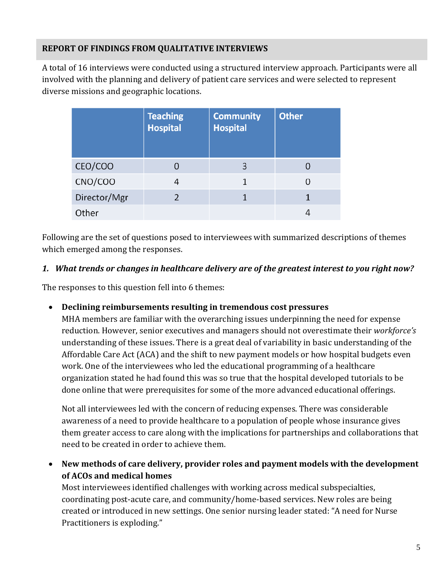## **REPORT OF FINDINGS FROM QUALITATIVE INTERVIEWS**

A total of 16 interviews were conducted using a structured interview approach. Participants were all involved with the planning and delivery of patient care services and were selected to represent diverse missions and geographic locations.

|              | <b>Teaching</b><br><b>Hospital</b> | <b>Community</b><br><b>Hospital</b> | <b>Other</b> |
|--------------|------------------------------------|-------------------------------------|--------------|
| CEO/COO      |                                    | 3                                   |              |
| CNO/COO      |                                    |                                     |              |
| Director/Mgr |                                    |                                     |              |
| Other        |                                    |                                     |              |

Following are the set of questions posed to interviewees with summarized descriptions of themes which emerged among the responses.

#### *1. What trends or changes in healthcare delivery are of the greatest interest to you right now?*

The responses to this question fell into 6 themes:

## **Declining reimbursements resulting in tremendous cost pressures**

MHA members are familiar with the overarching issues underpinning the need for expense reduction. However, senior executives and managers should not overestimate their *workforce's* understanding of these issues. There is a great deal of variability in basic understanding of the Affordable Care Act (ACA) and the shift to new payment models or how hospital budgets even work. One of the interviewees who led the educational programming of a healthcare organization stated he had found this was so true that the hospital developed tutorials to be done online that were prerequisites for some of the more advanced educational offerings.

Not all interviewees led with the concern of reducing expenses. There was considerable awareness of a need to provide healthcare to a population of people whose insurance gives them greater access to care along with the implications for partnerships and collaborations that need to be created in order to achieve them.

 **New methods of care delivery, provider roles and payment models with the development of ACOs and medical homes**

Most interviewees identified challenges with working across medical subspecialties, coordinating post-acute care, and community/home-based services. New roles are being created or introduced in new settings. One senior nursing leader stated: "A need for Nurse Practitioners is exploding."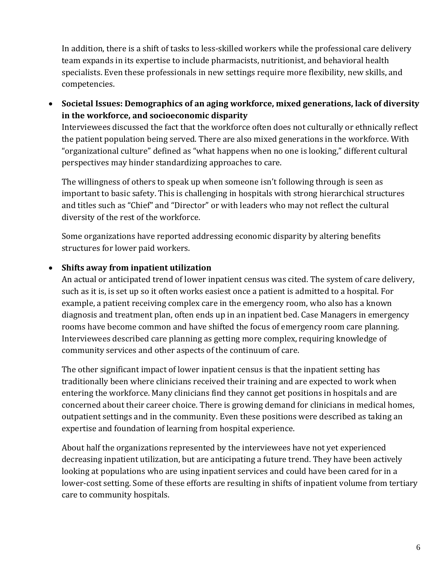In addition, there is a shift of tasks to less-skilled workers while the professional care delivery team expands in its expertise to include pharmacists, nutritionist, and behavioral health specialists. Even these professionals in new settings require more flexibility, new skills, and competencies. 

 **Societal Issues: Demographics of an aging workforce, mixed generations, lack of diversity in the workforce, and socioeconomic disparity**

Interviewees discussed the fact that the workforce often does not culturally or ethnically reflect the patient population being served. There are also mixed generations in the workforce. With "organizational culture" defined as "what happens when no one is looking," different cultural perspectives may hinder standardizing approaches to care.

The willingness of others to speak up when someone isn't following through is seen as important to basic safety. This is challenging in hospitals with strong hierarchical structures and titles such as "Chief" and "Director" or with leaders who may not reflect the cultural diversity of the rest of the workforce.

Some organizations have reported addressing economic disparity by altering benefits structures for lower paid workers.

## **Shifts away from inpatient utilization**

An actual or anticipated trend of lower inpatient census was cited. The system of care delivery, such as it is, is set up so it often works easiest once a patient is admitted to a hospital. For example, a patient receiving complex care in the emergency room, who also has a known diagnosis and treatment plan, often ends up in an inpatient bed. Case Managers in emergency rooms have become common and have shifted the focus of emergency room care planning. Interviewees described care planning as getting more complex, requiring knowledge of community services and other aspects of the continuum of care.

The other significant impact of lower inpatient census is that the inpatient setting has traditionally been where clinicians received their training and are expected to work when entering the workforce. Many clinicians find they cannot get positions in hospitals and are concerned about their career choice. There is growing demand for clinicians in medical homes, outpatient settings and in the community. Even these positions were described as taking an expertise and foundation of learning from hospital experience.

About half the organizations represented by the interviewees have not yet experienced decreasing inpatient utilization, but are anticipating a future trend. They have been actively looking at populations who are using inpatient services and could have been cared for in a lower-cost setting. Some of these efforts are resulting in shifts of inpatient volume from tertiary care to community hospitals.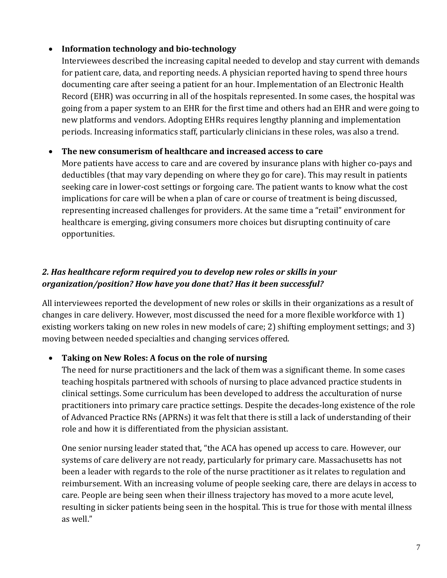#### **Information technology and bio‐technology**

Interviewees described the increasing capital needed to develop and stay current with demands for patient care, data, and reporting needs. A physician reported having to spend three hours documenting care after seeing a patient for an hour. Implementation of an Electronic Health Record (EHR) was occurring in all of the hospitals represented. In some cases, the hospital was going from a paper system to an EHR for the first time and others had an EHR and were going to new platforms and vendors. Adopting EHRs requires lengthy planning and implementation periods. Increasing informatics staff, particularly clinicians in these roles, was also a trend.

#### **The new consumerism of healthcare and increased access to care**

More patients have access to care and are covered by insurance plans with higher co-pays and deductibles (that may vary depending on where they go for care). This may result in patients seeking care in lower-cost settings or forgoing care. The patient wants to know what the cost implications for care will be when a plan of care or course of treatment is being discussed, representing increased challenges for providers. At the same time a "retail" environment for healthcare is emerging, giving consumers more choices but disrupting continuity of care opportunities. 

## *2. Has healthcare reform required you to develop new roles or skills in your organization/position? How have you done that? Has it been successful?*

All interviewees reported the development of new roles or skills in their organizations as a result of changes in care delivery. However, most discussed the need for a more flexible workforce with 1) existing workers taking on new roles in new models of care; 2) shifting employment settings; and 3) moving between needed specialties and changing services offered.

## **Taking on New Roles: A focus on the role of nursing**

The need for nurse practitioners and the lack of them was a significant theme. In some cases teaching hospitals partnered with schools of nursing to place advanced practice students in clinical settings. Some curriculum has been developed to address the acculturation of nurse practitioners into primary care practice settings. Despite the decades-long existence of the role of Advanced Practice RNs (APRNs) it was felt that there is still a lack of understanding of their role and how it is differentiated from the physician assistant.

One senior nursing leader stated that, "the ACA has opened up access to care. However, our systems of care delivery are not ready, particularly for primary care. Massachusetts has not been a leader with regards to the role of the nurse practitioner as it relates to regulation and reimbursement. With an increasing volume of people seeking care, there are delays in access to care. People are being seen when their illness trajectory has moved to a more acute level, resulting in sicker patients being seen in the hospital. This is true for those with mental illness as well."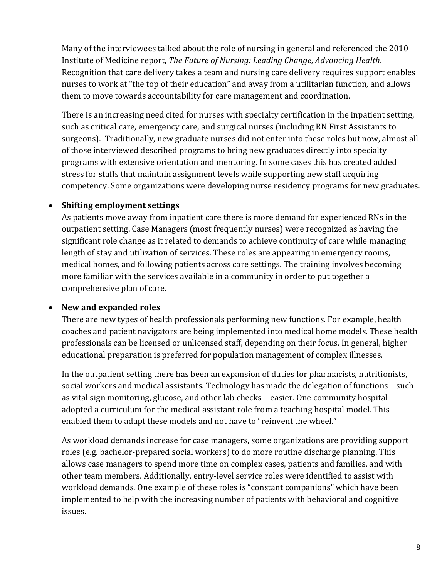Many of the interviewees talked about the role of nursing in general and referenced the 2010 Institute of Medicine report, *The Future of Nursing: Leading Change, Advancing Health*. Recognition that care delivery takes a team and nursing care delivery requires support enables nurses to work at "the top of their education" and away from a utilitarian function, and allows them to move towards accountability for care management and coordination.

There is an increasing need cited for nurses with specialty certification in the inpatient setting, such as critical care, emergency care, and surgical nurses (including RN First Assistants to surgeons). Traditionally, new graduate nurses did not enter into these roles but now, almost all of those interviewed described programs to bring new graduates directly into specialty programs with extensive orientation and mentoring. In some cases this has created added stress for staffs that maintain assignment levels while supporting new staff acquiring competency. Some organizations were developing nurse residency programs for new graduates.

#### **Shifting employment settings**

As patients move away from inpatient care there is more demand for experienced RNs in the outpatient setting. Case Managers (most frequently nurses) were recognized as having the significant role change as it related to demands to achieve continuity of care while managing length of stay and utilization of services. These roles are appearing in emergency rooms, medical homes, and following patients across care settings. The training involves becoming more familiar with the services available in a community in order to put together a comprehensive plan of care.

#### **New and expanded roles**

There are new types of health professionals performing new functions. For example, health coaches and patient navigators are being implemented into medical home models. These health professionals can be licensed or unlicensed staff, depending on their focus. In general, higher educational preparation is preferred for population management of complex illnesses.

In the outpatient setting there has been an expansion of duties for pharmacists, nutritionists, social workers and medical assistants. Technology has made the delegation of functions  $-$  such as vital sign monitoring, glucose, and other lab checks – easier. One community hospital adopted a curriculum for the medical assistant role from a teaching hospital model. This enabled them to adapt these models and not have to "reinvent the wheel."

As workload demands increase for case managers, some organizations are providing support roles (e.g. bachelor-prepared social workers) to do more routine discharge planning. This allows case managers to spend more time on complex cases, patients and families, and with other team members. Additionally, entry-level service roles were identified to assist with workload demands. One example of these roles is "constant companions" which have been implemented to help with the increasing number of patients with behavioral and cognitive issues.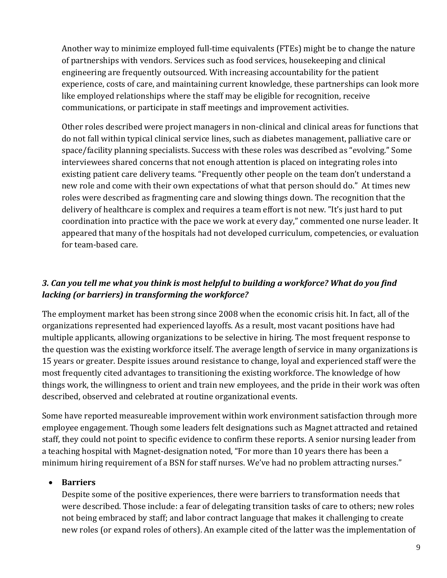Another way to minimize employed full-time equivalents (FTEs) might be to change the nature of partnerships with vendors. Services such as food services, housekeeping and clinical engineering are frequently outsourced. With increasing accountability for the patient experience, costs of care, and maintaining current knowledge, these partnerships can look more like employed relationships where the staff may be eligible for recognition, receive communications, or participate in staff meetings and improvement activities.

Other roles described were project managers in non-clinical and clinical areas for functions that do not fall within typical clinical service lines, such as diabetes management, palliative care or space/facility planning specialists. Success with these roles was described as "evolving." Some interviewees shared concerns that not enough attention is placed on integrating roles into existing patient care delivery teams. "Frequently other people on the team don't understand a new role and come with their own expectations of what that person should do." At times new roles were described as fragmenting care and slowing things down. The recognition that the delivery of healthcare is complex and requires a team effort is not new. "It's just hard to put coordination into practice with the pace we work at every day," commented one nurse leader. It appeared that many of the hospitals had not developed curriculum, competencies, or evaluation for team-based care.

## *3. Can you tell me what you think is most helpful to building a workforce? What do you find lacking (or barriers) in transforming the workforce?*

The employment market has been strong since 2008 when the economic crisis hit. In fact, all of the organizations represented had experienced layoffs. As a result, most vacant positions have had multiple applicants, allowing organizations to be selective in hiring. The most frequent response to the question was the existing workforce itself. The average length of service in many organizations is 15 years or greater. Despite issues around resistance to change, loyal and experienced staff were the most frequently cited advantages to transitioning the existing workforce. The knowledge of how things work, the willingness to orient and train new employees, and the pride in their work was often described, observed and celebrated at routine organizational events.

Some have reported measureable improvement within work environment satisfaction through more employee engagement. Though some leaders felt designations such as Magnet attracted and retained staff, they could not point to specific evidence to confirm these reports. A senior nursing leader from a teaching hospital with Magnet-designation noted, "For more than 10 years there has been a minimum hiring requirement of a BSN for staff nurses. We've had no problem attracting nurses."

## **Barriers**

Despite some of the positive experiences, there were barriers to transformation needs that were described. Those include: a fear of delegating transition tasks of care to others; new roles not being embraced by staff; and labor contract language that makes it challenging to create new roles (or expand roles of others). An example cited of the latter was the implementation of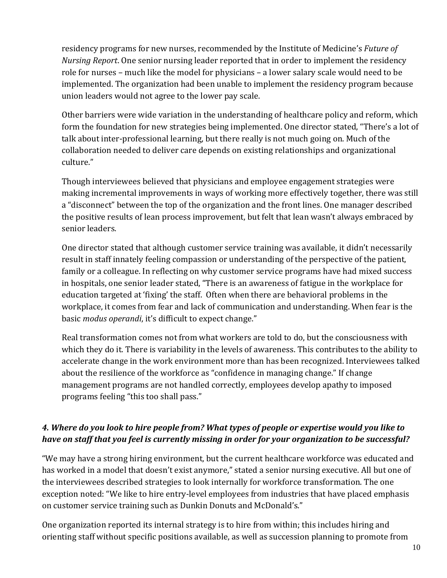residency programs for new nurses, recommended by the Institute of Medicine's *Future* of *Nursing Report*. One senior nursing leader reported that in order to implement the residency role for nurses – much like the model for physicians – a lower salary scale would need to be implemented. The organization had been unable to implement the residency program because union leaders would not agree to the lower pay scale.

Other barriers were wide variation in the understanding of healthcare policy and reform, which form the foundation for new strategies being implemented. One director stated, "There's a lot of talk about inter-professional learning, but there really is not much going on. Much of the collaboration needed to deliver care depends on existing relationships and organizational culture." 

Though interviewees believed that physicians and employee engagement strategies were making incremental improvements in ways of working more effectively together, there was still a "disconnect" between the top of the organization and the front lines. One manager described the positive results of lean process improvement, but felt that lean wasn't always embraced by senior leaders.

One director stated that although customer service training was available, it didn't necessarily result in staff innately feeling compassion or understanding of the perspective of the patient, family or a colleague. In reflecting on why customer service programs have had mixed success in hospitals, one senior leader stated, "There is an awareness of fatigue in the workplace for education targeted at 'fixing' the staff. Often when there are behavioral problems in the workplace, it comes from fear and lack of communication and understanding. When fear is the basic *modus operandi*, it's difficult to expect change."

Real transformation comes not from what workers are told to do, but the consciousness with which they do it. There is variability in the levels of awareness. This contributes to the ability to accelerate change in the work environment more than has been recognized. Interviewees talked about the resilience of the workforce as "confidence in managing change." If change management programs are not handled correctly, employees develop apathy to imposed programs feeling "this too shall pass."

## 4. Where do you look to hire people from? What types of people or expertise would you like to *have on staff that you feel is currently missing in order for your organization to be successful?*

"We may have a strong hiring environment, but the current healthcare workforce was educated and has worked in a model that doesn't exist anymore," stated a senior nursing executive. All but one of the interviewees described strategies to look internally for workforce transformation. The one exception noted: "We like to hire entry-level employees from industries that have placed emphasis on customer service training such as Dunkin Donuts and McDonald's."

One organization reported its internal strategy is to hire from within; this includes hiring and orienting staff without specific positions available, as well as succession planning to promote from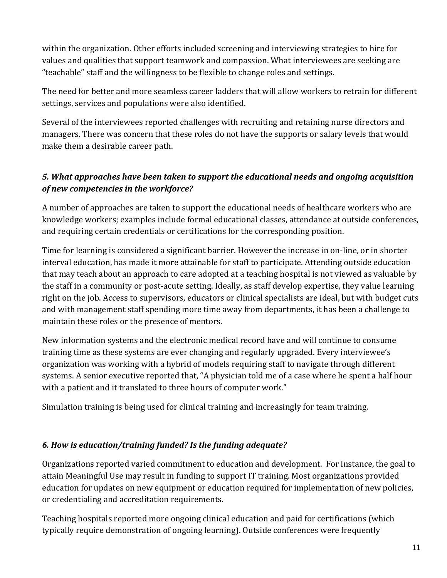within the organization. Other efforts included screening and interviewing strategies to hire for values and qualities that support teamwork and compassion. What interviewees are seeking are "teachable" staff and the willingness to be flexible to change roles and settings.

The need for better and more seamless career ladders that will allow workers to retrain for different settings, services and populations were also identified.

Several of the interviewees reported challenges with recruiting and retaining nurse directors and managers. There was concern that these roles do not have the supports or salary levels that would make them a desirable career path.

## *5. What approaches have been taken to support the educational needs and ongoing acquisition of new competencies in the workforce?*

A number of approaches are taken to support the educational needs of healthcare workers who are knowledge workers; examples include formal educational classes, attendance at outside conferences, and requiring certain credentials or certifications for the corresponding position.

Time for learning is considered a significant barrier. However the increase in on-line, or in shorter interval education, has made it more attainable for staff to participate. Attending outside education that may teach about an approach to care adopted at a teaching hospital is not viewed as valuable by the staff in a community or post-acute setting. Ideally, as staff develop expertise, they value learning right on the job. Access to supervisors, educators or clinical specialists are ideal, but with budget cuts and with management staff spending more time away from departments, it has been a challenge to maintain these roles or the presence of mentors.

New information systems and the electronic medical record have and will continue to consume training time as these systems are ever changing and regularly upgraded. Every interviewee's organization was working with a hybrid of models requiring staff to navigate through different systems. A senior executive reported that, "A physician told me of a case where he spent a half hour with a patient and it translated to three hours of computer work."

Simulation training is being used for clinical training and increasingly for team training.

## *6. How is education/training funded? Is the funding adequate?*

Organizations reported varied commitment to education and development. For instance, the goal to attain Meaningful Use may result in funding to support IT training. Most organizations provided education for updates on new equipment or education required for implementation of new policies, or credentialing and accreditation requirements.

Teaching hospitals reported more ongoing clinical education and paid for certifications (which typically require demonstration of ongoing learning). Outside conferences were frequently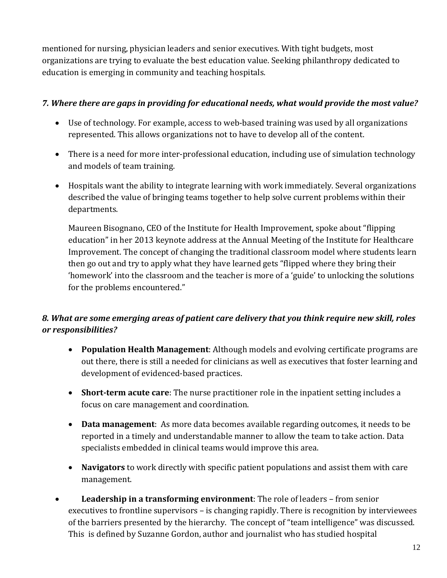mentioned for nursing, physician leaders and senior executives. With tight budgets, most organizations are trying to evaluate the best education value. Seeking philanthropy dedicated to education is emerging in community and teaching hospitals.

#### *7. Where there are gaps in providing for educational needs, what would provide the most value?*

- Use of technology. For example, access to web-based training was used by all organizations represented. This allows organizations not to have to develop all of the content.
- There is a need for more inter-professional education, including use of simulation technology and models of team training.
- Hospitals want the ability to integrate learning with work immediately. Several organizations described the value of bringing teams together to help solve current problems within their departments.

Maureen Bisognano, CEO of the Institute for Health Improvement, spoke about "flipping education" in her 2013 keynote address at the Annual Meeting of the Institute for Healthcare Improvement. The concept of changing the traditional classroom model where students learn then go out and try to apply what they have learned gets "flipped where they bring their 'homework' into the classroom and the teacher is more of a 'guide' to unlocking the solutions for the problems encountered."

## *8. What are some emerging areas of patient care delivery that you think require new skill, roles or responsibilities?*

- Population Health Management: Although models and evolving certificate programs are out there, there is still a needed for clinicians as well as executives that foster learning and development of evidenced-based practices.
- Short-term acute care: The nurse practitioner role in the inpatient setting includes a focus on care management and coordination.
- Data management: As more data becomes available regarding outcomes, it needs to be reported in a timely and understandable manner to allow the team to take action. Data specialists embedded in clinical teams would improve this area.
- Navigators to work directly with specific patient populations and assist them with care management.
- Leadership in a transforming environment: The role of leaders from senior executives to frontline supervisors  $-$  is changing rapidly. There is recognition by interviewees of the barriers presented by the hierarchy. The concept of "team intelligence" was discussed. This is defined by Suzanne Gordon, author and journalist who has studied hospital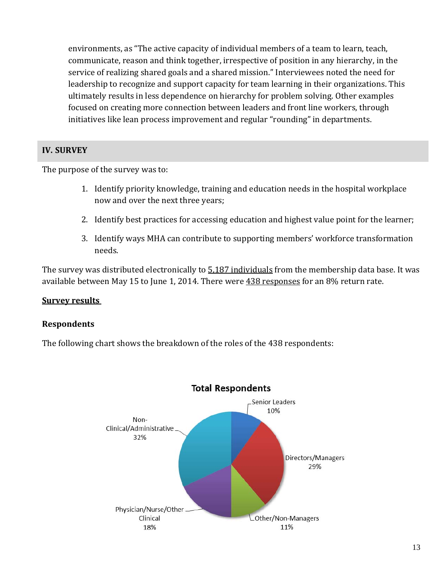environments, as "The active capacity of individual members of a team to learn, teach, communicate, reason and think together, irrespective of position in any hierarchy, in the service of realizing shared goals and a shared mission." Interviewees noted the need for leadership to recognize and support capacity for team learning in their organizations. This ultimately results in less dependence on hierarchy for problem solving. Other examples focused on creating more connection between leaders and front line workers, through initiatives like lean process improvement and regular "rounding" in departments.

#### **IV. SURVEY**

The purpose of the survey was to:

- 1. Identify priority knowledge, training and education needs in the hospital workplace now and over the next three years;
- 2. Identify best practices for accessing education and highest value point for the learner;
- 3. Identify ways MHA can contribute to supporting members' workforce transformation needs.

The survey was distributed electronically to  $5.187$  individuals from the membership data base. It was available between May 15 to June 1, 2014. There were  $438$  responses for an  $8\%$  return rate.

#### **Survey results**

#### **Respondents**

The following chart shows the breakdown of the roles of the 438 respondents:



#### **Total Respondents**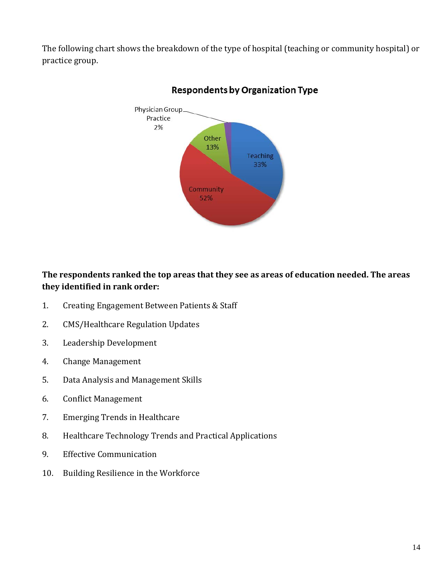The following chart shows the breakdown of the type of hospital (teaching or community hospital) or practice group. 



## **Respondents by Organization Type**

## **The respondents ranked the top areas that they see as areas of education needed. The areas they identified in rank order:**

- 1. Creating Engagement Between Patients & Staff
- 2. CMS/Healthcare Regulation Updates
- 3. Leadership Development
- 4. Change Management
- 5. Data Analysis and Management Skills
- 6. Conflict Management
- 7. Emerging Trends in Healthcare
- 8. Healthcare Technology Trends and Practical Applications
- 9. Effective Communication
- 10. Building Resilience in the Workforce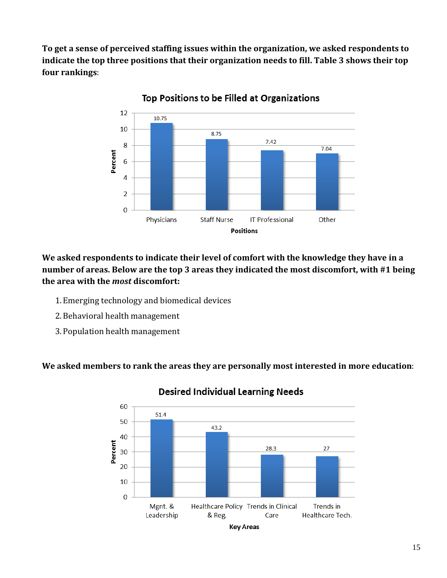**To get a sense of perceived staffing issues within the organization, we asked respondents to indicate the top three positions that their organization needs to fill. Table 3 shows their top four rankings**: 



Top Positions to be Filled at Organizations

**We asked respondents to indicate their level of comfort with the knowledge they have in a number of areas. Below are the top 3 areas they indicated the most discomfort, with #1 being the area with the** *most* **discomfort:**

- 1. Emerging technology and biomedical devices
- 2. Behavioral health management
- 3. Population health management

**We asked members to rank the areas they are personally most interested in more education**: 



#### **Desired Individual Learning Needs**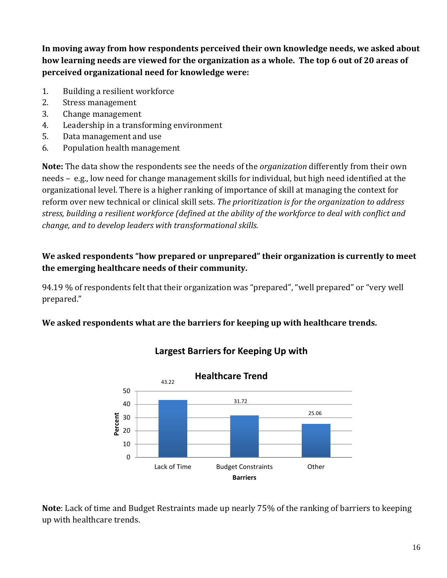**In moving away from how respondents perceived their own knowledge needs, we asked about** how learning needs are viewed for the organization as a whole. The top 6 out of 20 areas of **perceived organizational need for knowledge were:**

- 1. Building a resilient workforce
- 2. Stress management
- 3. Change management
- 4. Leadership in a transforming environment
- 5. Data management and use
- 6. Population health management

**Note:** The data show the respondents see the needs of the *organization* differently from their own needs – e.g., low need for change management skills for individual, but high need identified at the organizational level. There is a higher ranking of importance of skill at managing the context for reform over new technical or clinical skill sets. *The prioritization is for the organization to address stress, building a resilient workforce (defined at the ability of the workforce to deal with conflict and change, and to develop leaders with transformational skills.*

## **We asked respondents "how prepared or unprepared" their organization is currently to meet the emerging healthcare needs of their community.**

94.19  $\%$  of respondents felt that their organization was "prepared", "well prepared" or "very well prepared." 

## **We asked respondents what are the barriers for keeping up with healthcare trends.**



## **Largest Barriers for Keeping Up with**

**Note**: Lack of time and Budget Restraints made up nearly 75% of the ranking of barriers to keeping up with healthcare trends.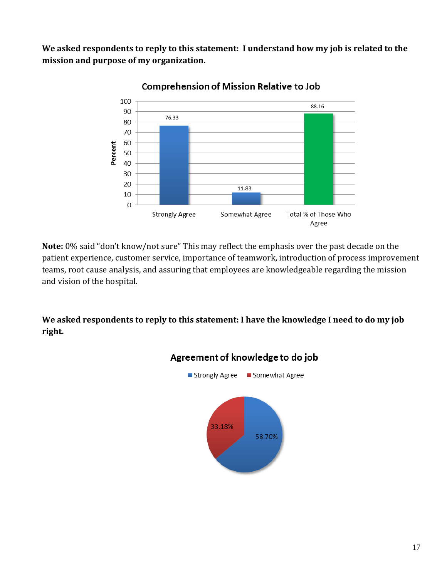**We asked respondents to reply to this statement: I understand how my job is related to the mission and purpose of my organization.**



**Comprehension of Mission Relative to Job** 

**Note:** 0% said "don't know/not sure" This may reflect the emphasis over the past decade on the patient experience, customer service, importance of teamwork, introduction of process improvement teams, root cause analysis, and assuring that employees are knowledgeable regarding the mission and vision of the hospital.

**We asked respondents to reply to this statement: I have the knowledge I need to do my job right.**



## Agreement of knowledge to do job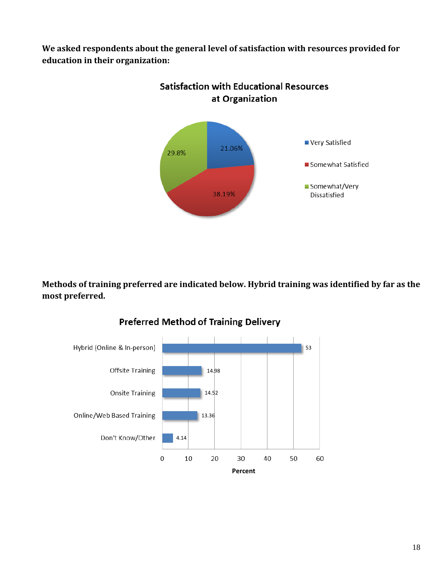**We asked respondents about the general level of satisfaction with resources provided for education in their organization:**



**Methods of training preferred are indicated below. Hybrid training was identified by far as the most preferred.**



#### **Preferred Method of Training Delivery**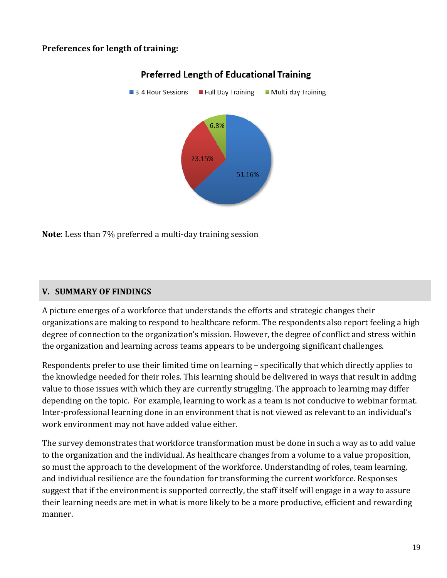#### **Preferences for length of training:**



## **Preferred Length of Educational Training**

**Note**: Less than 7% preferred a multi-day training session

#### **V. SUMMARY OF FINDINGS**

A picture emerges of a workforce that understands the efforts and strategic changes their organizations are making to respond to healthcare reform. The respondents also report feeling a high degree of connection to the organization's mission. However, the degree of conflict and stress within the organization and learning across teams appears to be undergoing significant challenges.

Respondents prefer to use their limited time on learning – specifically that which directly applies to the knowledge needed for their roles. This learning should be delivered in ways that result in adding value to those issues with which they are currently struggling. The approach to learning may differ depending on the topic. For example, learning to work as a team is not conducive to webinar format. Inter-professional learning done in an environment that is not viewed as relevant to an individual's work environment may not have added value either.

The survey demonstrates that workforce transformation must be done in such a way as to add value to the organization and the individual. As healthcare changes from a volume to a value proposition, so must the approach to the development of the workforce. Understanding of roles, team learning, and individual resilience are the foundation for transforming the current workforce. Responses suggest that if the environment is supported correctly, the staff itself will engage in a way to assure their learning needs are met in what is more likely to be a more productive, efficient and rewarding manner.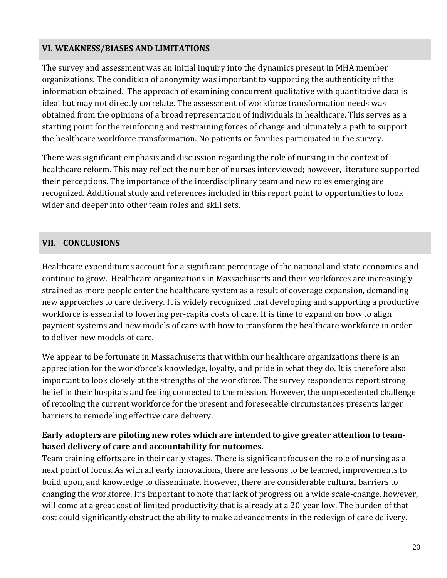#### **VI. WEAKNESS/BIASES AND LIMITATIONS**

The survey and assessment was an initial inquiry into the dynamics present in MHA member organizations. The condition of anonymity was important to supporting the authenticity of the information obtained. The approach of examining concurrent qualitative with quantitative data is ideal but may not directly correlate. The assessment of workforce transformation needs was obtained from the opinions of a broad representation of individuals in healthcare. This serves as a starting point for the reinforcing and restraining forces of change and ultimately a path to support the healthcare workforce transformation. No patients or families participated in the survey.

There was significant emphasis and discussion regarding the role of nursing in the context of healthcare reform. This may reflect the number of nurses interviewed; however, literature supported their perceptions. The importance of the interdisciplinary team and new roles emerging are recognized. Additional study and references included in this report point to opportunities to look wider and deeper into other team roles and skill sets.

## **VII. CONCLUSIONS**

Healthcare expenditures account for a significant percentage of the national and state economies and continue to grow. Healthcare organizations in Massachusetts and their workforces are increasingly strained as more people enter the healthcare system as a result of coverage expansion, demanding new approaches to care delivery. It is widely recognized that developing and supporting a productive workforce is essential to lowering per-capita costs of care. It is time to expand on how to align payment systems and new models of care with how to transform the healthcare workforce in order to deliver new models of care.

We appear to be fortunate in Massachusetts that within our healthcare organizations there is an appreciation for the workforce's knowledge, loyalty, and pride in what they do. It is therefore also important to look closely at the strengths of the workforce. The survey respondents report strong belief in their hospitals and feeling connected to the mission. However, the unprecedented challenge of retooling the current workforce for the present and foreseeable circumstances presents larger barriers to remodeling effective care delivery.

#### **Early adopters are piloting new roles which are intended to give greater attention to team‐ based delivery of care and accountability for outcomes.**

Team training efforts are in their early stages. There is significant focus on the role of nursing as a next point of focus. As with all early innovations, there are lessons to be learned, improvements to build upon, and knowledge to disseminate. However, there are considerable cultural barriers to changing the workforce. It's important to note that lack of progress on a wide scale-change, however, will come at a great cost of limited productivity that is already at a 20-year low. The burden of that cost could significantly obstruct the ability to make advancements in the redesign of care delivery.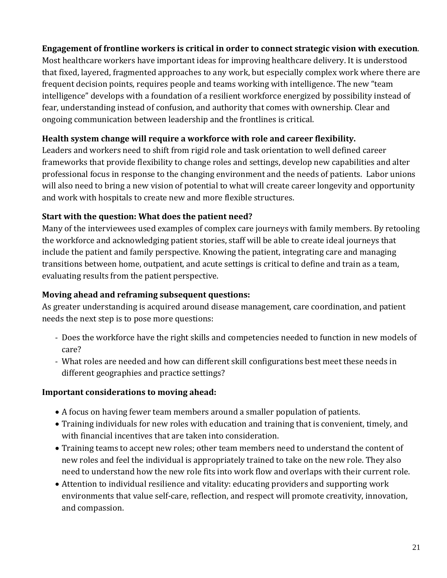#### **Engagement of frontline workers is critical in order to connect strategic vision with execution**.

Most healthcare workers have important ideas for improving healthcare delivery. It is understood that fixed, layered, fragmented approaches to any work, but especially complex work where there are frequent decision points, requires people and teams working with intelligence. The new "team intelligence" develops with a foundation of a resilient workforce energized by possibility instead of fear, understanding instead of confusion, and authority that comes with ownership. Clear and ongoing communication between leadership and the frontlines is critical.

#### **Health system change will require a workforce with role and career flexibility.**

Leaders and workers need to shift from rigid role and task orientation to well defined career frameworks that provide flexibility to change roles and settings, develop new capabilities and alter professional focus in response to the changing environment and the needs of patients. Labor unions will also need to bring a new vision of potential to what will create career longevity and opportunity and work with hospitals to create new and more flexible structures.

#### **Start with the question: What does the patient need?**

Many of the interviewees used examples of complex care journeys with family members. By retooling the workforce and acknowledging patient stories, staff will be able to create ideal journeys that include the patient and family perspective. Knowing the patient, integrating care and managing transitions between home, outpatient, and acute settings is critical to define and train as a team, evaluating results from the patient perspective.

## **Moving ahead and reframing subsequent questions:**

As greater understanding is acquired around disease management, care coordination, and patient needs the next step is to pose more questions:

- Does the workforce have the right skills and competencies needed to function in new models of care?
- What roles are needed and how can different skill configurations best meet these needs in different geographies and practice settings?

#### **Important considerations to moving ahead:**

- A focus on having fewer team members around a smaller population of patients.
- Training individuals for new roles with education and training that is convenient, timely, and with financial incentives that are taken into consideration.
- Training teams to accept new roles; other team members need to understand the content of new roles and feel the individual is appropriately trained to take on the new role. They also need to understand how the new role fits into work flow and overlaps with their current role.
- Attention to individual resilience and vitality: educating providers and supporting work environments that value self-care, reflection, and respect will promote creativity, innovation, and compassion.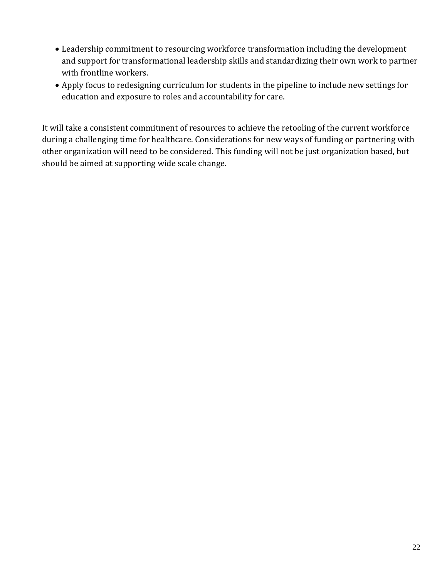- Leadership commitment to resourcing workforce transformation including the development and support for transformational leadership skills and standardizing their own work to partner with frontline workers.
- Apply focus to redesigning curriculum for students in the pipeline to include new settings for education and exposure to roles and accountability for care.

It will take a consistent commitment of resources to achieve the retooling of the current workforce during a challenging time for healthcare. Considerations for new ways of funding or partnering with other organization will need to be considered. This funding will not be just organization based, but should be aimed at supporting wide scale change.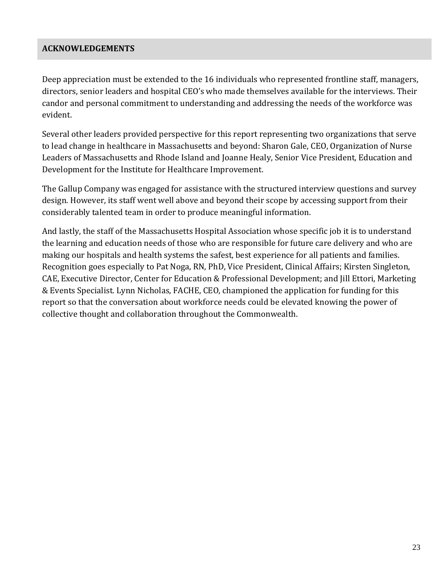#### **ACKNOWLEDGEMENTS**

Deep appreciation must be extended to the 16 individuals who represented frontline staff, managers, directors, senior leaders and hospital CEO's who made themselves available for the interviews. Their candor and personal commitment to understanding and addressing the needs of the workforce was evident. 

Several other leaders provided perspective for this report representing two organizations that serve to lead change in healthcare in Massachusetts and beyond: Sharon Gale, CEO, Organization of Nurse Leaders of Massachusetts and Rhode Island and Joanne Healy, Senior Vice President, Education and Development for the Institute for Healthcare Improvement.

The Gallup Company was engaged for assistance with the structured interview questions and survey design. However, its staff went well above and beyond their scope by accessing support from their considerably talented team in order to produce meaningful information.

And lastly, the staff of the Massachusetts Hospital Association whose specific job it is to understand the learning and education needs of those who are responsible for future care delivery and who are making our hospitals and health systems the safest, best experience for all patients and families. Recognition goes especially to Pat Noga, RN, PhD, Vice President, Clinical Affairs; Kirsten Singleton, CAE, Executive Director, Center for Education & Professional Development; and Jill Ettori, Marketing & Events Specialist. Lynn Nicholas, FACHE, CEO, championed the application for funding for this report so that the conversation about workforce needs could be elevated knowing the power of collective thought and collaboration throughout the Commonwealth.